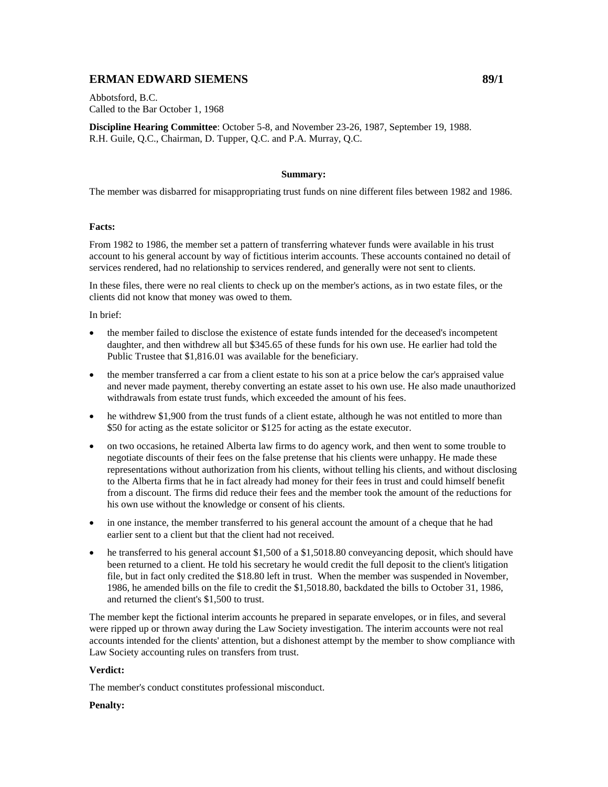# **ERMAN EDWARD SIEMENS** 89/1

Abbotsford, B.C. Called to the Bar October 1, 1968

**Discipline Hearing Committee**: October 5-8, and November 23-26, 1987, September 19, 1988. R.H. Guile, Q.C., Chairman, D. Tupper, Q.C. and P.A. Murray, Q.C.

# **Summary:**

The member was disbarred for misappropriating trust funds on nine different files between 1982 and 1986.

# **Facts:**

From 1982 to 1986, the member set a pattern of transferring whatever funds were available in his trust account to his general account by way of fictitious interim accounts. These accounts contained no detail of services rendered, had no relationship to services rendered, and generally were not sent to clients.

In these files, there were no real clients to check up on the member's actions, as in two estate files, or the clients did not know that money was owed to them.

In brief:

- the member failed to disclose the existence of estate funds intended for the deceased's incompetent daughter, and then withdrew all but \$345.65 of these funds for his own use. He earlier had told the Public Trustee that \$1,816.01 was available for the beneficiary.
- the member transferred a car from a client estate to his son at a price below the car's appraised value and never made payment, thereby converting an estate asset to his own use. He also made unauthorized withdrawals from estate trust funds, which exceeded the amount of his fees.
- he withdrew \$1,900 from the trust funds of a client estate, although he was not entitled to more than \$50 for acting as the estate solicitor or \$125 for acting as the estate executor.
- on two occasions, he retained Alberta law firms to do agency work, and then went to some trouble to negotiate discounts of their fees on the false pretense that his clients were unhappy. He made these representations without authorization from his clients, without telling his clients, and without disclosing to the Alberta firms that he in fact already had money for their fees in trust and could himself benefit from a discount. The firms did reduce their fees and the member took the amount of the reductions for his own use without the knowledge or consent of his clients.
- in one instance, the member transferred to his general account the amount of a cheque that he had earlier sent to a client but that the client had not received.
- he transferred to his general account \$1,500 of a \$1,5018.80 conveyancing deposit, which should have been returned to a client. He told his secretary he would credit the full deposit to the client's litigation file, but in fact only credited the \$18.80 left in trust. When the member was suspended in November, 1986, he amended bills on the file to credit the \$1,5018.80, backdated the bills to October 31, 1986, and returned the client's \$1,500 to trust.

The member kept the fictional interim accounts he prepared in separate envelopes, or in files, and several were ripped up or thrown away during the Law Society investigation. The interim accounts were not real accounts intended for the clients' attention, but a dishonest attempt by the member to show compliance with Law Society accounting rules on transfers from trust.

# **Verdict:**

The member's conduct constitutes professional misconduct.

# **Penalty:**